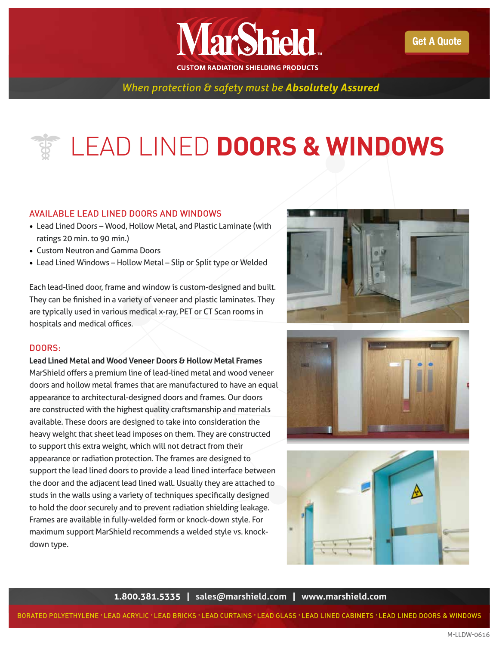

*When protection & safety must be Absolutely Assured* 

## LEAD LINED **DOORS & WINDOWS**

## AVAILABLE LEAD LINED DOORS AND WINDOWS

- Lead Lined Doors Wood, Hollow Metal, and Plastic Laminate (with ratings 20 min. to 90 min.)
- Custom Neutron and Gamma Doors
- Lead Lined Windows Hollow Metal Slip or Split type or Welded

Each lead-lined door, frame and window is custom-designed and built. They can be finished in a variety of veneer and plastic laminates. They are typically used in various medical x-ray, PET or CT Scan rooms in hospitals and medical offices.

## DOORS:

#### **Lead Lined Metal and Wood Veneer Doors & Hollow Metal Frames**

MarShield offers a premium line of lead-lined metal and wood veneer doors and hollow metal frames that are manufactured to have an equal appearance to architectural-designed doors and frames. Our doors are constructed with the highest quality craftsmanship and materials available. These doors are designed to take into consideration the heavy weight that sheet lead imposes on them. They are constructed to support this extra weight, which will not detract from their appearance or radiation protection. The frames are designed to support the lead lined doors to provide a lead lined interface between the door and the adjacent lead lined wall. Usually they are attached to studs in the walls using a variety of techniques specifically designed to hold the door securely and to prevent radiation shielding leakage. Frames are available in fully-welded form or knock-down style. For maximum support MarShield recommends a welded style vs. knockdown type.







**1.800.381.5335 | [sales@marshield.com](http://marshield.com/marshield-email/) | [www.marshield.com](http://www.marshield.com)**

BORATED POLYETHYLENE • LEAD ACRYLIC • LEAD BRICKS • LEAD CURTAINS • LEAD GLASS • LEAD LINED CABINETS • LEAD LINED DOORS & WINDOWS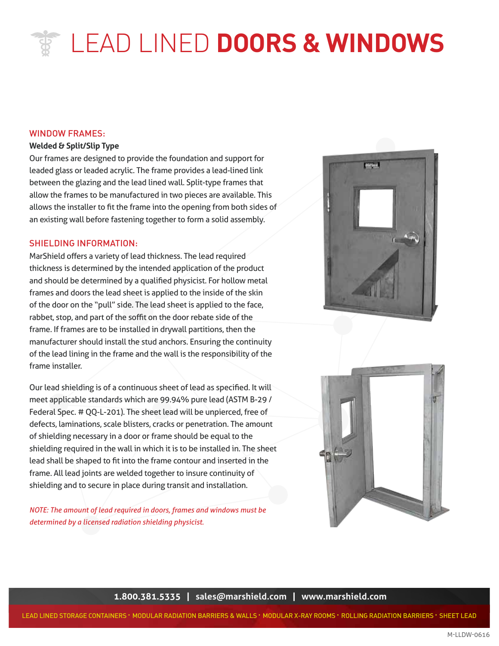# LEAD LINED **DOORS & WINDOWS**

### WINDOW FRAMES:

### **Welded & Split/Slip Type**

Our frames are designed to provide the foundation and support for leaded glass or leaded acrylic. The frame provides a lead-lined link between the glazing and the lead lined wall. Split-type frames that allow the frames to be manufactured in two pieces are available. This allows the installer to fit the frame into the opening from both sides of an existing wall before fastening together to form a solid assembly.

## SHIELDING INFORMATION:

TRUSTED FOR OVER 19 YO ART AND TRUSTED FOR OVER 19 YO ARE AND TRUSTED TO A TRUST THE PRODUCT OF A TRUST TRUSTED TO A TRUSTED TO A TRUSTED TO A TRUSTED TO A TRUSTED TO A TRUSTED TO A TRUSTED TO A TRUSTED TO A TRUSTED TO A T MarShield offers a variety of lead thickness. The lead required thickness is determined by the intended application of the product frames and doors the lead sheet is applied to the inside of the skin of the door on the "pull" side. The lead sheet is applied to the face, rabbet, stop, and part of the soffit on the door rebate side of the frame. If frames are to be installed in drywall partitions, then the manufacturer should install the stud anchors. Ensuring the continuity of the lead lining in the frame and the wall is the responsibility of the frame installer.

Our lead shielding is of a continuous sheet of lead as specified. It will meet applicable standards which are 99.94% pure lead (ASTM B-29 / Federal Spec. # QQ-L-201). The sheet lead will be unpierced, free of defects, laminations, scale blisters, cracks or penetration. The amount of shielding necessary in a door or frame should be equal to the shielding required in the wall in which it is to be installed in. The sheet lead shall be shaped to fit into the frame contour and inserted in the frame. All lead joints are welded together to insure continuity of shielding and to secure in place during transit and installation.

*NOTE: The amount of lead required in doors, frames and windows must be determined by a licensed radiation shielding physicist.*





**1.800.381.5335 | [sales@marshield.com](http://marshield.com/marshield-email/) | [www.marshield.com](http://www.marshield.com)**

LEAD LINED STORAGE CONTAINERS • MODULAR RADIATION BARRIERS & WALLS • MODULAR X-RAY ROOMS • ROLLING RADIATION BARRIERS • SHEET LEAD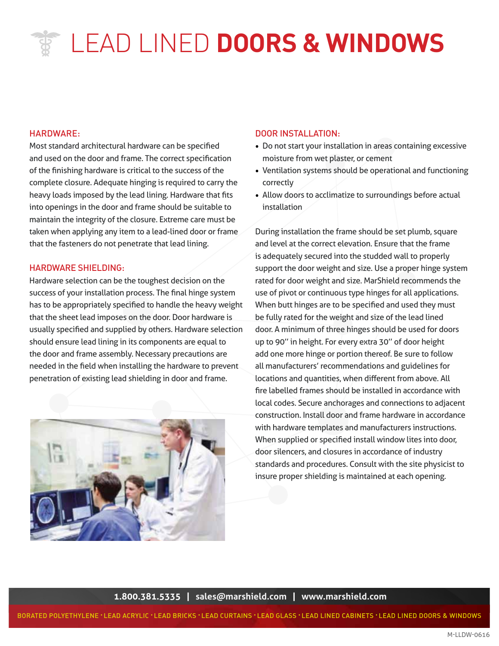## LEAD LINED **DOORS & WINDOWS**

### HARDWARE:

Most standard architectural hardware can be specified and used on the door and frame. The correct specification of the finishing hardware is critical to the success of the complete closure. Adequate hinging is required to carry the heavy loads imposed by the lead lining. Hardware that fits into openings in the door and frame should be suitable to maintain the integrity of the closure. Extreme care must be taken when applying any item to a lead-lined door or frame that the fasteners do not penetrate that lead lining.

#### HARDWARE SHIELDING:

Hardware selection can be the toughest decision on the success of your installation process. The final hinge system has to be appropriately specified to handle the heavy weight that the sheet lead imposes on the door. Door hardware is usually specified and supplied by others. Hardware selection should ensure lead lining in its components are equal to the door and frame assembly. Necessary precautions are needed in the field when installing the hardware to prevent penetration of existing lead shielding in door and frame.



#### DOOR INSTALLATION:

- Do not start your installation in areas containing excessive moisture from wet plaster, or cement
- Ventilation systems should be operational and functioning correctly
- Allow doors to acclimatize to surroundings before actual installation

Support the door weight and size. Ose a proper minge system<br>est decision on the rated for door weight and size. MarShield recommends the During installation the frame should be set plumb, square and level at the correct elevation. Ensure that the frame is adequately secured into the studded wall to properly support the door weight and size. Use a proper hinge system use of pivot or continuous type hinges for all applications. When butt hinges are to be specified and used they must be fully rated for the weight and size of the lead lined door. A minimum of three hinges should be used for doors up to 90'' in height. For every extra 30'' of door height add one more hinge or portion thereof. Be sure to follow all manufacturers' recommendations and guidelines for locations and quantities, when different from above. All fire labelled frames should be installed in accordance with local codes. Secure anchorages and connections to adjacent construction. Install door and frame hardware in accordance with hardware templates and manufacturers instructions. When supplied or specified install window lites into door, door silencers, and closures in accordance of industry standards and procedures. Consult with the site physicist to insure proper shielding is maintained at each opening.